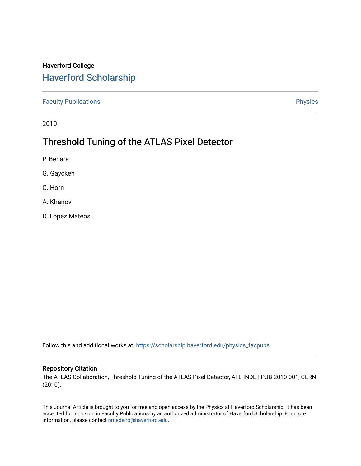# Haverford College [Haverford Scholarship](https://scholarship.haverford.edu/)

[Faculty Publications](https://scholarship.haverford.edu/physics_facpubs) **Physics** 

2010

# Threshold Tuning of the ATLAS Pixel Detector

- P. Behara
- G. Gaycken
- C. Horn
- A. Khanov
- D. Lopez Mateos

Follow this and additional works at: [https://scholarship.haverford.edu/physics\\_facpubs](https://scholarship.haverford.edu/physics_facpubs?utm_source=scholarship.haverford.edu%2Fphysics_facpubs%2F343&utm_medium=PDF&utm_campaign=PDFCoverPages) 

#### Repository Citation

The ATLAS Collaboration, Threshold Tuning of the ATLAS Pixel Detector, ATL-INDET-PUB-2010-001, CERN (2010).

This Journal Article is brought to you for free and open access by the Physics at Haverford Scholarship. It has been accepted for inclusion in Faculty Publications by an authorized administrator of Haverford Scholarship. For more information, please contact [nmedeiro@haverford.edu.](mailto:nmedeiro@haverford.edu)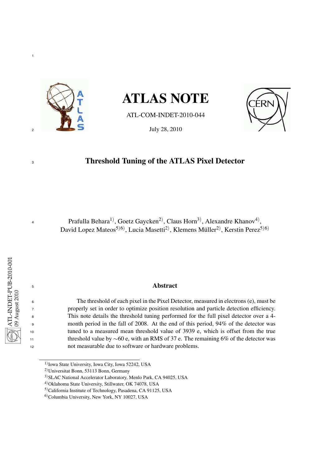

# ATLAS NOTE

ATL-COM-INDET-2010-044



# Threshold Tuning of the ATLAS Pixel Detector

Prafulla Behara<sup>1)</sup>, Goetz Gaycken<sup>2)</sup>, Claus Horn<sup>3)</sup>, Alexandre Khanov<sup>4)</sup>, David Lopez Mateos<sup>5)6)</sup>, Lucia Masetti<sup>2)</sup>, Klemens Müller<sup>2)</sup>, Kerstin Perez<sup>5)6)</sup>

#### Abstract

 The threshold of each pixel in the Pixel Detector, measured in electrons (e), must be properly set in order to optimize position resolution and particle detection efficiency. This note details the threshold tuning performed for the full pixel detector over a 4- month period in the fall of 2008. At the end of this period, 94% of the detector was tuned to a measured mean threshold value of 3939 e, which is offset from the true threshold value by ∼60 e, with an RMS of 37 e. The remaining 6% of the detector was not measurable due to software or hardware problems.

) Iowa State University, Iowa City, Iowa 52242, USA

)Universitat Bonn, 53113 Bonn, Germany

)SLAC National Accelerator Laboratory, Menlo Park, CA 94025, USA

)Oklahoma State University, Stillwater, OK 74078, USA

)California Institute of Technology, Pasadena, CA 91125, USA

)Columbia University, New York, NY 10027, USA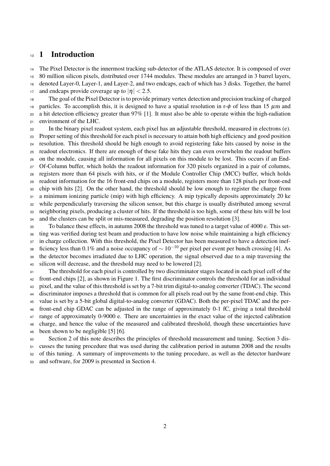## <sup>13</sup> 1 Introduction

 The Pixel Detector is the innermost tracking sub-detector of the ATLAS detector. It is composed of over 80 million silicon pixels, distributed over 1744 modules. These modules are arranged in 3 barrel layers, denoted Layer-0, Layer-1, and Layer-2, and two endcaps, each of which has 3 disks. Together, the barrel 17 and endcaps provide coverage up to  $|\eta| < 2.5$ .

 The goal of the Pixel Detector is to provide primary vertex detection and precision tracking of charged 19 particles. To accomplish this, it is designed to have a spatial resolution in r- $\phi$  of less than 15  $\mu$ m and a hit detection efficiency greater than 97% [1]. It must also be able to operate within the high-radiation environment of the LHC.

 In the binary pixel readout system, each pixel has an adjustable threshold, measured in electrons (e). Proper setting of this threshold for each pixel is necessary to attain both high efficiency and good position resolution. This threshold should be high enough to avoid registering fake hits caused by noise in the readout electronics. If there are enough of these fake hits they can even overwhelm the readout buffers on the module, causing all information for all pixels on this module to be lost. This occurs if an End- Of-Column buffer, which holds the readout information for 320 pixels organized in a pair of columns, registers more than 64 pixels with hits, or if the Module Controller Chip (MCC) buffer, which holds readout information for the 16 front-end chips on a module, registers more than 128 pixels per front-end chip with hits [2]. On the other hand, the threshold should be low enough to register the charge from a minimum ionizing particle (mip) with high efficiency. A mip typically deposits approximately 20 ke while perpendicularly traversing the silicon sensor, but this charge is usually distributed among several neighboring pixels, producing a cluster of hits. If the threshold is too high, some of these hits will be lost and the clusters can be split or mis-measured, degrading the position resolution [3].

 To balance these effects, in autumn 2008 the threshold was tuned to a target value of 4000 e. This set- ting was verified during test beam and production to have low noise while maintaining a high efficiency in charge collection. With this threshold, the Pixel Detector has been measured to have a detection inef- $\frac{1}{28}$  ficiency less than 0.1% and a noise occupancy of  $\sim 10^{-10}$  per pixel per event per bunch crossing [4]. As the detector becomes irradiated due to LHC operation, the signal observed due to a mip traversing the silicon will decrease, and the threshold may need to be lowered [2].

 The threshold for each pixel is controlled by two discriminator stages located in each pixel cell of the front-end chips [2], as shown in Figure 1. The first discriminator controls the threshold for an individual pixel, and the value of this threshold is set by a 7-bit trim digital-to-analog converter (TDAC). The second discriminator imposes a threshold that is common for all pixels read out by the same front-end chip. This value is set by a 5-bit global digital-to-analog converter (GDAC). Both the per-pixel TDAC and the per- front-end chip GDAC can be adjusted in the range of approximately 0-1 fC, giving a total threshold range of approximately 0-9000 e. There are uncertainties in the exact value of the injected calibration charge, and hence the value of the measured and calibrated threshold, though these uncertainties have been shown to be negligible [5] [6].

 Section 2 of this note describes the principles of threshold measurement and tuning. Section 3 dis- cusses the tuning procedure that was used during the calibration period in autumn 2008 and the results of this tuning. A summary of improvements to the tuning procedure, as well as the detector hardware

and software, for 2009 is presented in Section 4.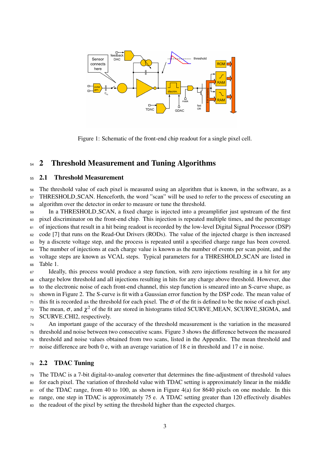

Figure 1: Schematic of the front-end chip readout for a single pixel cell.

## 54 2 Threshold Measurement and Tuning Algorithms

#### 2.1 Threshold Measurement

 The threshold value of each pixel is measured using an algorithm that is known, in the software, as a THRESHOLD SCAN. Henceforth, the word "scan" will be used to refer to the process of executing an

algorithm over the detector in order to measure or tune the threshold.

 In a THRESHOLD SCAN, a fixed charge is injected into a preamplifier just upstream of the first pixel discriminator on the front-end chip. This injection is repeated multiple times, and the percentage of injections that result in a hit being readout is recorded by the low-level Digital Signal Processor (DSP)  $62 \text{ code } [7]$  that runs on the Read-Out Drivers (RODs). The value of the injected charge is then increased by a discrete voltage step, and the process is repeated until a specified charge range has been covered. <sup>64</sup> The number of injections at each charge value is known as the number of events per scan point, and the voltage steps are known as VCAL steps. Typical parameters for a THRESHOLD SCAN are listed in 66 Table 1. Ideally, this process would produce a step function, with zero injections resulting in a hit for any

 charge below threshold and all injections resulting in hits for any charge above threshold. However, due to the electronic noise of each front-end channel, this step function is smeared into an S-curve shape, as shown in Figure 2. The S-curve is fit with a Gaussian error function by the DSP code. The mean value of this fit is recorded as the threshold for each pixel. The  $\sigma$  of the fit is defined to be the noise of each pixel. 72 The mean,  $\sigma$ , and  $\chi^2$  of the fit are stored in histograms titled SCURVE\_MEAN, SCURVE\_SIGMA, and SCURVE CHI2, respectively.

 An important gauge of the accuracy of the threshold measurement is the variation in the measured threshold and noise between two consecutive scans. Figure 3 shows the difference between the measured threshold and noise values obtained from two scans, listed in the Appendix. The mean threshold and noise difference are both 0 e, with an average variation of 18 e in threshold and 17 e in noise.

#### 2.2 TDAC Tuning

The TDAC is a 7-bit digital-to-analog converter that determines the fine-adjustment of threshold values

 for each pixel. The variation of threshold value with TDAC setting is approximately linear in the middle 81 of the TDAC range, from 40 to 100, as shown in Figure 4(a) for 8640 pixels on one module. In this

range, one step in TDAC is approximately 75 e. A TDAC setting greater than 120 effectively disables

the readout of the pixel by setting the threshold higher than the expected charges.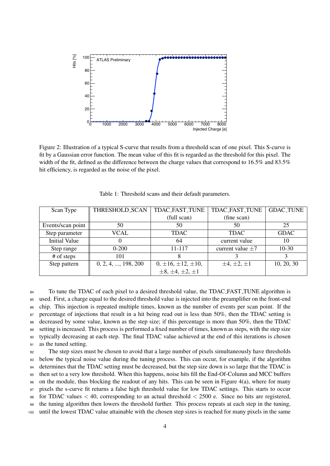

Figure 2: Illustration of a typical S-curve that results from a threshold scan of one pixel. This S-curve is fit by a Gaussian error function. The mean value of this fit is regarded as the threshold for this pixel. The width of the fit, defined as the difference between the charge values that correspond to 16.5% and 83.5% hit efficiency, is regarded as the noise of the pixel.

| Scan Type            | THRESHOLD_SCAN              | <b>TDAC_FAST_TUNE</b>        | TDAC_FAST_TUNE        | <b>GDAC_TUNE</b> |
|----------------------|-----------------------------|------------------------------|-----------------------|------------------|
|                      |                             | (full scan)                  | (fine scan)           |                  |
| Events/scan point    | 50                          | 50                           | 50                    | 25               |
| Step parameter       | VCAL                        | <b>TDAC</b>                  | <b>TDAC</b>           | <b>GDAC</b>      |
| <b>Initial Value</b> | $\theta$                    | 64                           | current value         | 10               |
| Step range           | $0 - 200$                   | 11-117                       | current value $\pm 7$ | $10-30$          |
| # of steps           | 101                         |                              |                       |                  |
| Step pattern         | $0, 2, 4, \ldots, 198, 200$ | $0, \pm 16, \pm 12, \pm 10,$ | $\pm 4, \pm 2, \pm 1$ | 10, 20, 30       |
|                      |                             | $\pm 8, \pm 4, \pm 2, \pm 1$ |                       |                  |

Table 1: Threshold scans and their default parameters.

<sup>84</sup> To tune the TDAC of each pixel to a desired threshold value, the TDAC FAST TUNE algorithm is used. First, a charge equal to the desired threshold value is injected into the preamplifier on the front-end chip. This injection is repeated multiple times, known as the number of events per scan point. If the 87 percentage of injections that result in a hit being read out is less than 50%, then the TDAC setting is decreased by some value, known as the step size; if this percentage is more than 50%, then the TDAC 89 setting is increased. This process is performed a fixed number of times, known as steps, with the step size typically decreasing at each step. The final TDAC value achieved at the end of this iterations is chosen as the tuned setting. The step sizes must be chosen to avoid that a large number of pixels simultaneously have thresholds

 below the typical noise value during the tuning process. This can occur, for example, if the algorithm 94 determines that the TDAC setting must be decreased, but the step size down is so large that the TDAC is then set to a very low threshold. When this happens, noise hits fill the End-Of-Column and MCC buffers on the module, thus blocking the readout of any hits. This can be seen in Figure 4(a), where for many pixels the s-curve fit returns a false high threshold value for low TDAC settings. This starts to occur 98 for TDAC values  $\lt$  40, corresponding to an actual threshold  $\lt$  2500 e. Since no hits are registered, the tuning algorithm then lowers the threshold further. This process repeats at each step in the tuning, until the lowest TDAC value attainable with the chosen step sizes is reached for many pixels in the same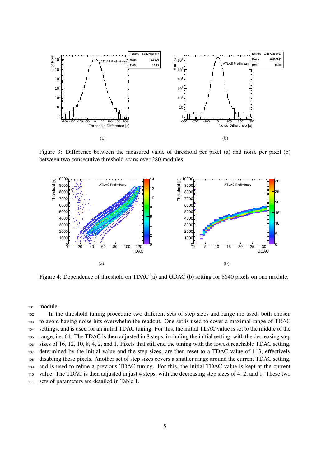

Figure 3: Difference between the measured value of threshold per pixel (a) and noise per pixel (b) between two consecutive threshold scans over 280 modules.



Figure 4: Dependence of threshold on TDAC (a) and GDAC (b) setting for 8640 pixels on one module.

module.

 In the threshold tuning procedure two different sets of step sizes and range are used, both chosen to avoid having noise hits overwhelm the readout. One set is used to cover a maximal range of TDAC settings, and is used for an initial TDAC tuning. For this, the initial TDAC value is set to the middle of the range, i.e. 64. The TDAC is then adjusted in 8 steps, including the initial setting, with the decreasing step sizes of 16, 12, 10, 8, 4, 2, and 1. Pixels that still end the tuning with the lowest reachable TDAC setting, determined by the initial value and the step sizes, are then reset to a TDAC value of 113, effectively disabling these pixels. Another set of step sizes covers a smaller range around the current TDAC setting, and is used to refine a previous TDAC tuning. For this, the initial TDAC value is kept at the current value. The TDAC is then adjusted in just 4 steps, with the decreasing step sizes of 4, 2, and 1. These two sets of parameters are detailed in Table 1.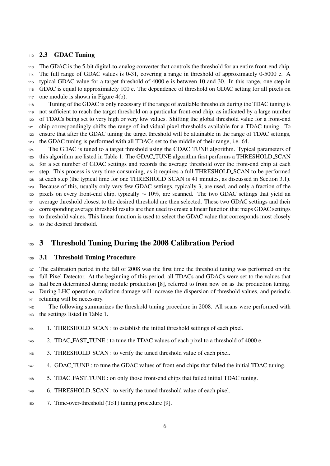#### 2.3 GDAC Tuning

 The GDAC is the 5-bit digital-to-analog converter that controls the threshold for an entire front-end chip. The full range of GDAC values is 0-31, covering a range in threshold of approximately 0-5000 e. A typical GDAC value for a target threshold of 4000 e is between 10 and 30. In this range, one step in GDAC is equal to approximately 100 e. The dependence of threshold on GDAC setting for all pixels on one module is shown in Figure 4(b).

 Tuning of the GDAC is only necessary if the range of available thresholds during the TDAC tuning is not sufficient to reach the target threshold on a particular front-end chip, as indicated by a large number of TDACs being set to very high or very low values. Shifting the global threshold value for a front-end chip correspondingly shifts the range of individual pixel thresholds available for a TDAC tuning. To ensure that after the GDAC tuning the target threshold will be attainable in the range of TDAC settings, the GDAC tuning is performed with all TDACs set to the middle of their range, i.e. 64.

 The GDAC is tuned to a target threshold using the GDAC TUNE algorithm. Typical parameters of this algorithm are listed in Table 1. The GDAC TUNE algorithm first performs a THRESHOLD SCAN for a set number of GDAC settings and records the average threshold over the front-end chip at each step. This process is very time consuming, as it requires a full THRESHOLD SCAN to be performed at each step (the typical time for one THRESHOLD SCAN is 41 minutes, as discussed in Section 3.1). Because of this, usually only very few GDAC settings, typically 3, are used, and only a fraction of the 130 pixels on every front-end chip, typically  $\sim 10\%$ , are scanned. The two GDAC settings that yield an average threshold closest to the desired threshold are then selected. These two GDAC settings and their corresponding average threshold results are then used to create a linear function that maps GDAC settings to threshold values. This linear function is used to select the GDAC value that corresponds most closely to the desired threshold.

## 3 Threshold Tuning During the 2008 Calibration Period

#### 3.1 Threshold Tuning Procedure

 The calibration period in the fall of 2008 was the first time the threshold tuning was performed on the full Pixel Detector. At the beginning of this period, all TDACs and GDACs were set to the values that had been determined during module production [8], referred to from now on as the production tuning. During LHC operation, radiation damage will increase the dispersion of threshold values, and periodic retuning will be necessary.

 The following summarizes the threshold tuning procedure in 2008. All scans were performed with the settings listed in Table 1.

1. THRESHOLD SCAN : to establish the initial threshold settings of each pixel.

- 2. TDAC FAST TUNE : to tune the TDAC values of each pixel to a threshold of 4000 e.
- 146 3. THRESHOLD\_SCAN : to verify the tuned threshold value of each pixel.
- 4. GDAC TUNE : to tune the GDAC values of front-end chips that failed the initial TDAC tuning.
- 5. TDAC FAST TUNE : on only those front-end chips that failed initial TDAC tuning.
- 6. THRESHOLD SCAN : to verify the tuned threshold value of each pixel.
- 7. Time-over-threshold (ToT) tuning procedure [9].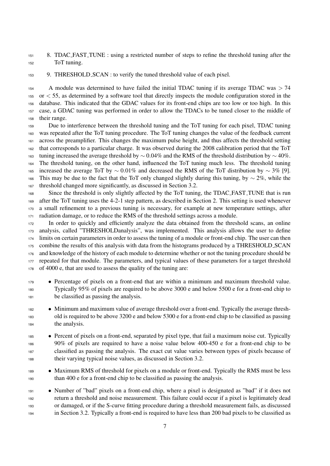8. TDAC FAST TUNE : using a restricted number of steps to refine the threshold tuning after the ToT tuning.

9. THRESHOLD SCAN : to verify the tuned threshold value of each pixel.

154 A module was determined to have failed the initial TDAC tuning if its average TDAC was  $> 74$  or < 55, as determined by a software tool that directly inspects the module configuration stored in the database. This indicated that the GDAC values for its front-end chips are too low or too high. In this case, a GDAC tuning was performed in order to allow the TDACs to be tuned closer to the middle of their range.

 Due to interference between the threshold tuning and the ToT tuning for each pixel, TDAC tuning was repeated after the ToT tuning procedure. The ToT tuning changes the value of the feedback current across the preamplifier. This changes the maximum pulse height, and thus affects the threshold setting that corresponds to a particular charge. It was observed during the 2008 calibration period that the ToT the tuning increased the average threshold by  $\sim$  0.04% and the RMS of the threshold distribution by  $\sim$  40%. The threshold tuning, on the other hand, influenced the ToT tuning much less. The threshold tuning 165 increased the average ToT by  $\sim 0.01\%$  and decreased the RMS of the ToT distribution by  $\sim 3\%$  [9]. This may be due to the fact that the ToT only changed slightly during this tuning, by ∼ 2%, while the threshold changed more significantly, as discussed in Section 3.2.

 Since the threshold is only slightly affected by the ToT tuning, the TDAC FAST TUNE that is run after the ToT tuning uses the 4-2-1 step pattern, as described in Section 2. This setting is used whenever a small refinement to a previous tuning is necessary, for example at new temperature settings, after radiation damage, or to reduce the RMS of the threshold settings across a module.

 In order to quickly and efficiently analyze the data obtained from the threshold scans, an online analysis, called "THRESHOLDanalysis", was implemented. This analysis allows the user to define limits on certain parameters in order to assess the tuning of a module or front-end chip. The user can then combine the results of this analysis with data from the histograms produced by a THRESHOLD SCAN and knowledge of the history of each module to determine whether or not the tuning procedure should be repeated for that module. The parameters, and typical values of these parameters for a target threshold of 4000 e, that are used to assess the quality of the tuning are:

- Percentage of pixels on a front-end that are within a minimum and maximum threshold value. Typically 95% of pixels are required to be above 3000 e and below 5500 e for a front-end chip to be classified as passing the analysis.
- Minimum and maximum value of average threshold over a front-end. Typically the average thresh- old is required to be above 3200 e and below 5300 e for a front-end chip to be classified as passing the analysis.
- Percent of pixels on a front-end, separated by pixel type, that fail a maximum noise cut. Typically 90% of pixels are required to have a noise value below 400-450 e for a front-end chip to be classified as passing the analysis. The exact cut value varies between types of pixels because of their varying typical noise values, as discussed in Section 3.2.
- Maximum RMS of threshold for pixels on a module or front-end. Typically the RMS must be less than 400 e for a front-end chip to be classified as passing the analysis.
- Number of "bad" pixels on a front-end chip, where a pixel is designated as "bad" if it does not return a threshold and noise measurement. This failure could occur if a pixel is legitimately dead or damaged, or if the S-curve fitting procedure during a threshold measurement fails, as discussed in Section 3.2. Typically a front-end is required to have less than 200 bad pixels to be classified as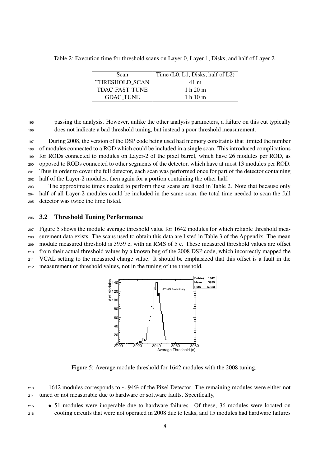| Scan                  | Time $(L0, L1, Disks, half of L2)$ |
|-----------------------|------------------------------------|
| THRESHOLD_SCAN        | 41 m                               |
| <b>TDAC FAST TUNE</b> | 1 h $20 \text{ m}$                 |
| <b>GDAC TUNE</b>      | 1 h 10 m                           |

Table 2: Execution time for threshold scans on Layer 0, Layer 1, Disks, and half of Layer 2.

 passing the analysis. However, unlike the other analysis parameters, a failure on this cut typically does not indicate a bad threshold tuning, but instead a poor threshold measurement.

 During 2008, the version of the DSP code being used had memory constraints that limited the number of modules connected to a ROD which could be included in a single scan. This introduced complications for RODs connected to modules on Layer-2 of the pixel barrel, which have 26 modules per ROD, as opposed to RODs connected to other segments of the detector, which have at most 13 modules per ROD. Thus in order to cover the full detector, each scan was performed once for part of the detector containing half of the Layer-2 modules, then again for a portion containing the other half.

 The approximate times needed to perform these scans are listed in Table 2. Note that because only half of all Layer-2 modules could be included in the same scan, the total time needed to scan the full detector was twice the time listed.

#### 3.2 Threshold Tuning Performance

 Figure 5 shows the module average threshold value for 1642 modules for which reliable threshold mea-surement data exists. The scans used to obtain this data are listed in Table 3 of the Appendix. The mean

module measured threshold is 3939 e, with an RMS of 5 e. These measured threshold values are offset

from their actual threshold values by a known bug of the 2008 DSP code, which incorrectly mapped the

VCAL setting to the measured charge value. It should be emphasized that this offset is a fault in the

measurement of threshold values, not in the tuning of the threshold.



Figure 5: Average module threshold for 1642 modules with the 2008 tuning.

 1642 modules corresponds to ∼ 94% of the Pixel Detector. The remaining modules were either not tuned or not measurable due to hardware or software faults. Specifically,

 • 51 modules were inoperable due to hardware failures. Of these, 36 modules were located on cooling circuits that were not operated in 2008 due to leaks, and 15 modules had hardware failures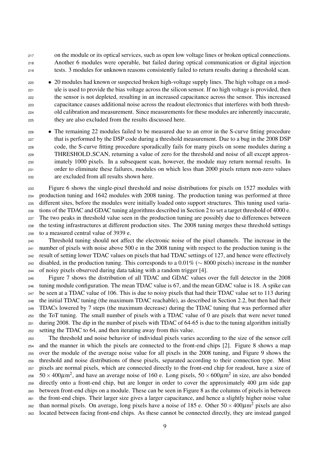on the module or its optical services, such as open low voltage lines or broken optical connections. Another 6 modules were operable, but failed during optical communication or digital injection tests. 3 modules for unknown reasons consistently failed to return results during a threshold scan.

 • 20 modules had known or suspected broken high-voltage supply lines. The high voltage on a mod- ule is used to provide the bias voltage across the silicon sensor. If no high voltage is provided, then the sensor is not depleted, resulting in an increased capacitance across the sensor. This increased capacitance causes additional noise across the readout electronics that interferes with both thresh- old calibration and measurement. Since measurements for these modules are inherently inaccurate, they are also excluded from the results discussed here.

<sup>226</sup> • The remaining 22 modules failed to be measured due to an error in the S-curve fitting procedure that is performed by the DSP code during a threshold measurement. Due to a bug in the 2008 DSP code, the S-curve fitting procedure sporadically fails for many pixels on some modules during a THRESHOLD SCAN, returning a value of zero for the threshold and noise of all except approx- imately 1000 pixels. In a subsequent scan, however, the module may return normal results. In order to eliminate these failures, modules on which less than 2000 pixels return non-zero values are excluded from all results shown here.

 Figure 6 shows the single-pixel threshold and noise distributions for pixels on 1527 modules with production tuning and 1642 modules with 2008 tuning. The production tuning was performed at three different sites, before the modules were initially loaded onto support structures. This tuning used varia- tions of the TDAC and GDAC tuning algorithms described in Section 2 to set a target threshold of 4000 e. The two peaks in threshold value seen in the production tuning are possibly due to differences between the testing infrastructures at different production sites. The 2008 tuning merges these threshold settings to a measured central value of 3939 e.

 Threshold tuning should not affect the electronic noise of the pixel channels. The increase in the number of pixels with noise above 500 e in the 2008 tuning with respect to the production tuning is the result of setting lower TDAC values on pixels that had TDAC settings of 127, and hence were effectively disabled, in the production tuning. This corresponds to a 0.01% (∼ 8000 pixels) increase in the number of noisy pixels observed during data taking with a random trigger [4].

 Figure 7 shows the distribution of all TDAC and GDAC values over the full detector in the 2008 tuning module configuration. The mean TDAC value is 67, and the mean GDAC value is 18. A spike can be seen at a TDAC value of 106. This is due to noisy pixels that had their TDAC value set to 113 during the initial TDAC tuning (the maximum TDAC reachable), as described in Section 2.2, but then had their TDACs lowered by 7 steps (the maximum decrease) during the TDAC tuning that was performed after the ToT tuning. The small number of pixels with a TDAC value of 0 are pixels that were never tuned during 2008. The dip in the number of pixels with TDAC of 64-65 is due to the tuning algorithm initially setting the TDAC to 64, and then iterating away from this value.

 The threshold and noise behavior of individual pixels varies according to the size of the sensor cell and the manner in which the pixels are connected to the front-end chips [2]. Figure 8 shows a map over the module of the average noise value for all pixels in the 2008 tuning, and Figure 9 shows the threshold and noise distributions of these pixels, separated according to their connection type. Most pixels are normal pixels, which are connected directly to the front-end chip for readout, have a size of  $50 \times 400 \mu$ m<sup>2</sup>, and have an average noise of 160 e. Long pixels,  $50 \times 600 \mu$ m<sup>2</sup> in size, are also bonded directly onto a front-end chip, but are longer in order to cover the approximately 400  $\mu$ m side gap between front-end chips on a module. These can be seen in Figure 8 as the columns of pixels in between the front-end chips. Their larger size gives a larger capacitance, and hence a slightly higher noise value 262 than normal pixels. On average, long pixels have a noise of 185 e. Other  $50 \times 400 \mu m^2$  pixels are also located between facing front-end chips. As these cannot be connected directly, they are instead ganged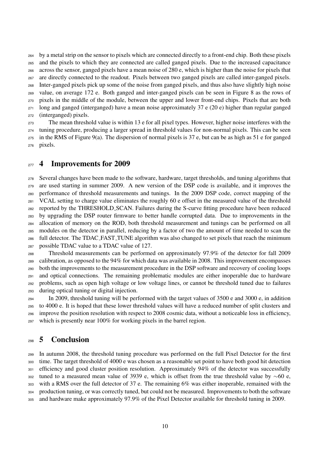by a metal strip on the sensor to pixels which are connected directly to a front-end chip. Both these pixels and the pixels to which they are connected are called ganged pixels. Due to the increased capacitance across the sensor, ganged pixels have a mean noise of 280 e, which is higher than the noise for pixels that are directly connected to the readout. Pixels between two ganged pixels are called inter-ganged pixels. Inter-ganged pixels pick up some of the noise from ganged pixels, and thus also have slightly high noise value, on average 172 e. Both ganged and inter-ganged pixels can be seen in Figure 8 as the rows of pixels in the middle of the module, between the upper and lower front-end chips. Pixels that are both long and ganged (interganged) have a mean noise approximately 37 e (20 e) higher than regular ganged (interganged) pixels.

 The mean threshold value is within 13 e for all pixel types. However, higher noise interferes with the tuning procedure, producing a larger spread in threshold values for non-normal pixels. This can be seen in the RMS of Figure 9(a). The dispersion of normal pixels is 37 e, but can be as high as 51 e for ganged pixels.

#### 277 4 Improvements for 2009

 Several changes have been made to the software, hardware, target thresholds, and tuning algorithms that are used starting in summer 2009. A new version of the DSP code is available, and it improves the performance of threshold measurements and tunings. In the 2009 DSP code, correct mapping of the VCAL setting to charge value eliminates the roughly 60 e offset in the measured value of the threshold reported by the THRESHOLD SCAN. Failures during the S-curve fitting procedure have been reduced by upgrading the DSP router firmware to better handle corrupted data. Due to improvements in the allocation of memory on the ROD, both threshold measurement and tunings can be performed on all modules on the detector in parallel, reducing by a factor of two the amount of time needed to scan the full detector. The TDAC FAST TUNE algorithm was also changed to set pixels that reach the minimum possible TDAC value to a TDAC value of 127.

 Threshold measurements can be performed on approximately 97.9% of the detector for fall 2009 calibration, as opposed to the 94% for which data was available in 2008. This improvement encompasses both the improvements to the measurement procedure in the DSP software and recovery of cooling loops and optical connections. The remaining problematic modules are either inoperable due to hardware problems, such as open high voltage or low voltage lines, or cannot be threshold tuned due to failures during optical tuning or digital injection.

 In 2009, threshold tuning will be performed with the target values of 3500 e and 3000 e, in addition to 4000 e. It is hoped that these lower threshold values will have a reduced number of split clusters and improve the position resolution with respect to 2008 cosmic data, without a noticeable loss in efficiency, which is presently near 100% for working pixels in the barrel region.

## 5 Conclusion

 In autumn 2008, the threshold tuning procedure was performed on the full Pixel Detector for the first time. The target threshold of 4000 e was chosen as a reasonable set point to have both good hit detection efficiency and good cluster position resolution. Approximately 94% of the detector was successfully 302 tuned to a measured mean value of 3939 e, which is offset from the true threshold value by  $\sim$ 60 e, with a RMS over the full detector of 37 e. The remaining 6% was either inoperable, remained with the production tuning, or was correctly tuned, but could not be measured. Improvements to both the software and hardware make approximately 97.9% of the Pixel Detector available for threshold tuning in 2009.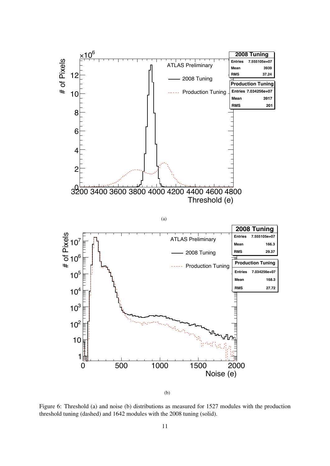

Figure 6: Threshold (a) and noise (b) distributions as measured for 1527 modules with the production threshold tuning (dashed) and 1642 modules with the 2008 tuning (solid).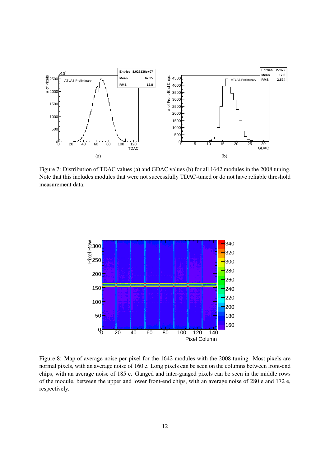

Figure 7: Distribution of TDAC values (a) and GDAC values (b) for all 1642 modules in the 2008 tuning. Note that this includes modules that were not successfully TDAC-tuned or do not have reliable threshold measurement data.



Figure 8: Map of average noise per pixel for the 1642 modules with the 2008 tuning. Most pixels are normal pixels, with an average noise of 160 e. Long pixels can be seen on the columns between front-end chips, with an average noise of 185 e. Ganged and inter-ganged pixels can be seen in the middle rows of the module, between the upper and lower front-end chips, with an average noise of 280 e and 172 e, respectively.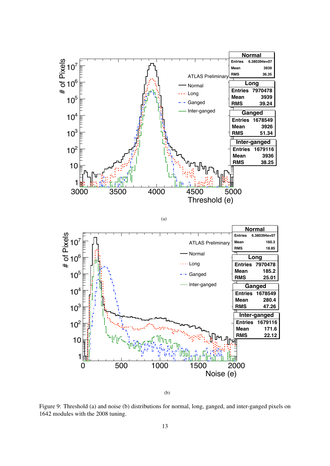

(b)

Figure 9: Threshold (a) and noise (b) distributions for normal, long, ganged, and inter-ganged pixels on 1642 modules with the 2008 tuning.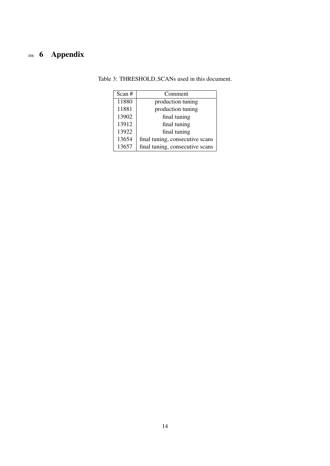# **6 Appendix**

| Scan # | Comment                         |  |
|--------|---------------------------------|--|
| 11880  | production tuning               |  |
| 11881  | production tuning               |  |
| 13902  | final tuning                    |  |
| 13912  | final tuning                    |  |
| 13922  | final tuning                    |  |
| 13654  | final tuning, consecutive scans |  |
| 13657  | final tuning, consecutive scans |  |

Table 3: THRESHOLD SCANs used in this document.